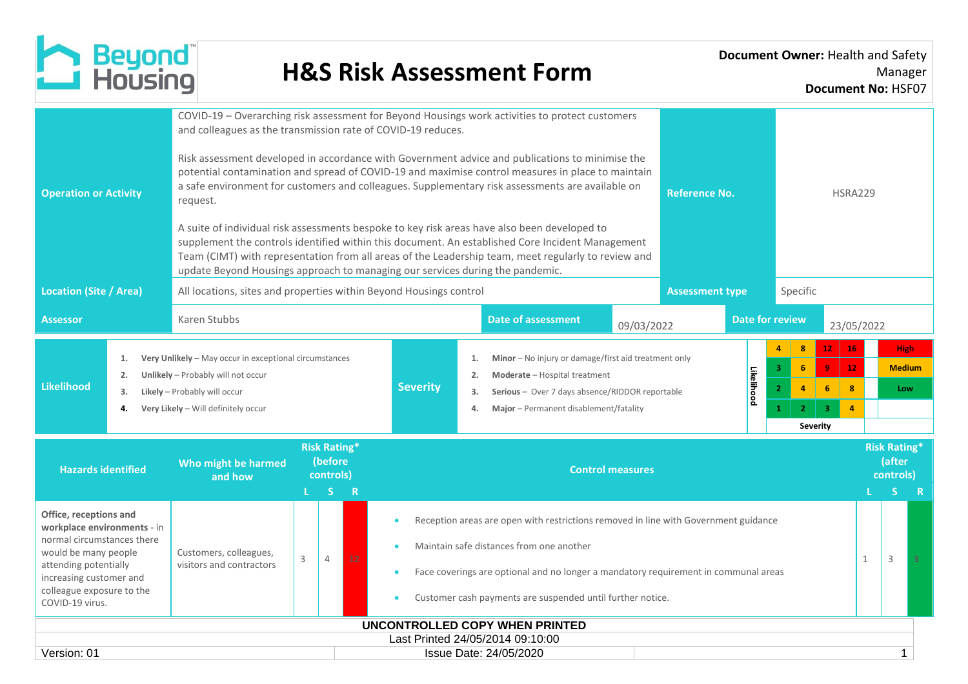

| <b>Operation or Activity</b>  | COVID-19 - Overarching risk assessment for Beyond Housings work activities to protect customers<br>and colleagues as the transmission rate of COVID-19 reduces.<br>Risk assessment developed in accordance with Government advice and publications to minimise the<br>potential contamination and spread of COVID-19 and maximise control measures in place to maintain<br>a safe environment for customers and colleagues. Supplementary risk assessments are available on<br><b>Reference No.</b><br>request.<br>A suite of individual risk assessments bespoke to key risk areas have also been developed to<br>supplement the controls identified within this document. An established Core Incident Management<br>Team (CIMT) with representation from all areas of the Leadership team, meet regularly to review and<br>update Beyond Housings approach to managing our services during the pandemic. |                                                                                                                                                                     |  |                                                                                                                                                                                                                                                                                      |                      |                                                                                                                                                                                                  |                                                                           |                         |                                                                                                      | <b>HSRA229</b>                                                        |            |                                     |                                                            |   |  |  |
|-------------------------------|-------------------------------------------------------------------------------------------------------------------------------------------------------------------------------------------------------------------------------------------------------------------------------------------------------------------------------------------------------------------------------------------------------------------------------------------------------------------------------------------------------------------------------------------------------------------------------------------------------------------------------------------------------------------------------------------------------------------------------------------------------------------------------------------------------------------------------------------------------------------------------------------------------------|---------------------------------------------------------------------------------------------------------------------------------------------------------------------|--|--------------------------------------------------------------------------------------------------------------------------------------------------------------------------------------------------------------------------------------------------------------------------------------|----------------------|--------------------------------------------------------------------------------------------------------------------------------------------------------------------------------------------------|---------------------------------------------------------------------------|-------------------------|------------------------------------------------------------------------------------------------------|-----------------------------------------------------------------------|------------|-------------------------------------|------------------------------------------------------------|---|--|--|
| <b>Location (Site / Area)</b> |                                                                                                                                                                                                                                                                                                                                                                                                                                                                                                                                                                                                                                                                                                                                                                                                                                                                                                             | All locations, sites and properties within Beyond Housings control                                                                                                  |  |                                                                                                                                                                                                                                                                                      |                      |                                                                                                                                                                                                  |                                                                           |                         | <b>Assessment type</b>                                                                               |                                                                       | Specific   |                                     |                                                            |   |  |  |
| <b>Assessor</b>               |                                                                                                                                                                                                                                                                                                                                                                                                                                                                                                                                                                                                                                                                                                                                                                                                                                                                                                             | Karen Stubbs                                                                                                                                                        |  |                                                                                                                                                                                                                                                                                      |                      |                                                                                                                                                                                                  | <b>Date of assessment</b>                                                 | 09/03/2022              |                                                                                                      | Date for review                                                       | 23/05/2022 |                                     |                                                            |   |  |  |
| <b>Likelihood</b>             | 1.<br>2.<br>3.<br>4.                                                                                                                                                                                                                                                                                                                                                                                                                                                                                                                                                                                                                                                                                                                                                                                                                                                                                        | Very Unlikely - May occur in exceptional circumstances<br>Unlikely - Probably will not occur<br>Likely - Probably will occur<br>Very Likely - Will definitely occur |  | <b>Severity</b>                                                                                                                                                                                                                                                                      | 1.<br>2.<br>3.<br>4. | Minor - No injury or damage/first aid treatment only<br>Likelihood<br>Moderate - Hospital treatment<br>Serious - Over 7 days absence/RIDDOR reportable<br>Major - Permanent disablement/fatality |                                                                           |                         | 8<br>6<br>$\overline{q}$<br>3<br>$\overline{2}$<br>$\overline{a}$<br>6<br>2 <sup>1</sup><br>Severity | 16<br>12.<br>12 <sub>1</sub><br>8<br>$\overline{3}$<br>$\overline{a}$ |            | <b>High</b><br><b>Medium</b><br>Low |                                                            |   |  |  |
| <b>Hazards identified</b>     |                                                                                                                                                                                                                                                                                                                                                                                                                                                                                                                                                                                                                                                                                                                                                                                                                                                                                                             | Who might be harmed<br>and how                                                                                                                                      |  | <b>Risk Rating*</b><br>(before<br>controls)<br>S.<br>$\overline{R}$                                                                                                                                                                                                                  |                      |                                                                                                                                                                                                  |                                                                           | <b>Control measures</b> |                                                                                                      |                                                                       |            |                                     | <b>Risk Rating*</b><br>(after<br>controls)<br><sub>S</sub> | R |  |  |
| COVID-19 virus.               | Office, receptions and<br>workplace environments - in<br>normal circumstances there<br>Customers, colleagues,<br>would be many people<br>3<br>12<br>4<br>visitors and contractors<br>attending potentially<br>increasing customer and<br>colleague exposure to the                                                                                                                                                                                                                                                                                                                                                                                                                                                                                                                                                                                                                                          |                                                                                                                                                                     |  | Reception areas are open with restrictions removed in line with Government guidance<br>Maintain safe distances from one another<br>Face coverings are optional and no longer a mandatory requirement in communal areas<br>Customer cash payments are suspended until further notice. |                      |                                                                                                                                                                                                  |                                                                           |                         | 1                                                                                                    | 3                                                                     |            |                                     |                                                            |   |  |  |
|                               |                                                                                                                                                                                                                                                                                                                                                                                                                                                                                                                                                                                                                                                                                                                                                                                                                                                                                                             |                                                                                                                                                                     |  |                                                                                                                                                                                                                                                                                      |                      |                                                                                                                                                                                                  | <b>UNCONTROLLED COPY WHEN PRINTED</b><br>Last Printed 24/05/2014 09:10:00 |                         |                                                                                                      |                                                                       |            |                                     |                                                            |   |  |  |
| Version: 01                   |                                                                                                                                                                                                                                                                                                                                                                                                                                                                                                                                                                                                                                                                                                                                                                                                                                                                                                             |                                                                                                                                                                     |  |                                                                                                                                                                                                                                                                                      |                      |                                                                                                                                                                                                  | Issue Date: 24/05/2020                                                    |                         |                                                                                                      |                                                                       |            |                                     | 1                                                          |   |  |  |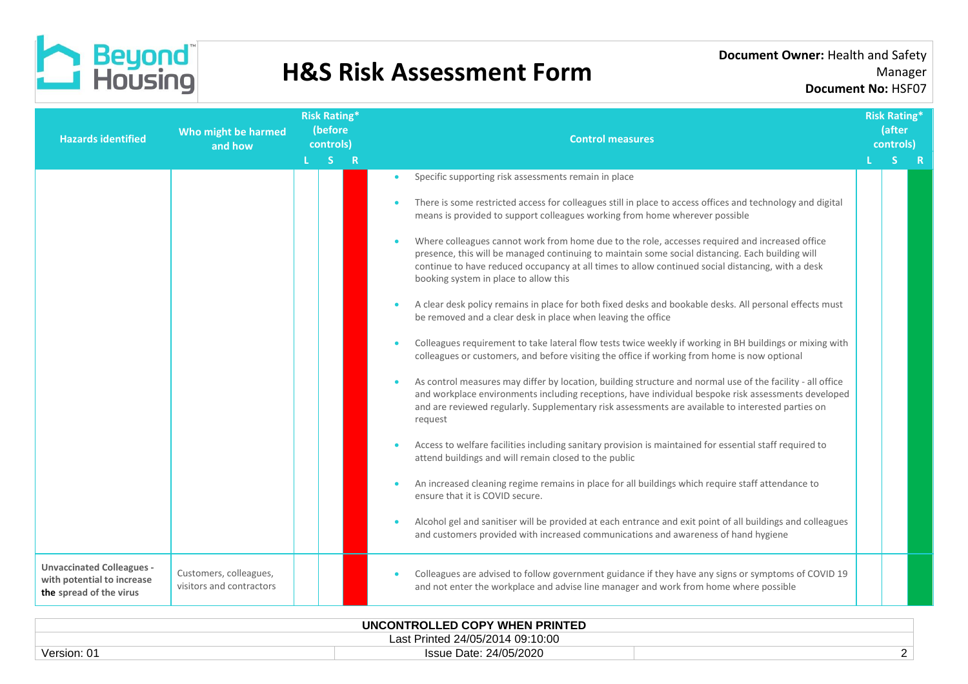

| <b>Hazards identified</b>                                                                 | Who might be harmed<br>and how                     | <b>Risk Rating*</b><br>(before<br>controls) |  |           | <b>Control measures</b>                                                                                                                                                                                                                                                                                                                                                                                                                                                                                                                                                                                                                                                                                                                                                                                                                                                                                                                                                                                                                                                                                                                                                                                                                                                                                                                                                                                                                                                                                                                                                                                                                                                                                                                                     |  |    | <b>Risk Rating*</b><br>(after<br>controls) |  |
|-------------------------------------------------------------------------------------------|----------------------------------------------------|---------------------------------------------|--|-----------|-------------------------------------------------------------------------------------------------------------------------------------------------------------------------------------------------------------------------------------------------------------------------------------------------------------------------------------------------------------------------------------------------------------------------------------------------------------------------------------------------------------------------------------------------------------------------------------------------------------------------------------------------------------------------------------------------------------------------------------------------------------------------------------------------------------------------------------------------------------------------------------------------------------------------------------------------------------------------------------------------------------------------------------------------------------------------------------------------------------------------------------------------------------------------------------------------------------------------------------------------------------------------------------------------------------------------------------------------------------------------------------------------------------------------------------------------------------------------------------------------------------------------------------------------------------------------------------------------------------------------------------------------------------------------------------------------------------------------------------------------------------|--|----|--------------------------------------------|--|
|                                                                                           |                                                    | L <sub>SR</sub>                             |  |           |                                                                                                                                                                                                                                                                                                                                                                                                                                                                                                                                                                                                                                                                                                                                                                                                                                                                                                                                                                                                                                                                                                                                                                                                                                                                                                                                                                                                                                                                                                                                                                                                                                                                                                                                                             |  | S. |                                            |  |
|                                                                                           |                                                    |                                             |  | $\bullet$ | Specific supporting risk assessments remain in place<br>There is some restricted access for colleagues still in place to access offices and technology and digital<br>means is provided to support colleagues working from home wherever possible<br>Where colleagues cannot work from home due to the role, accesses required and increased office<br>presence, this will be managed continuing to maintain some social distancing. Each building will<br>continue to have reduced occupancy at all times to allow continued social distancing, with a desk<br>booking system in place to allow this<br>A clear desk policy remains in place for both fixed desks and bookable desks. All personal effects must<br>be removed and a clear desk in place when leaving the office<br>Colleagues requirement to take lateral flow tests twice weekly if working in BH buildings or mixing with<br>colleagues or customers, and before visiting the office if working from home is now optional<br>As control measures may differ by location, building structure and normal use of the facility - all office<br>and workplace environments including receptions, have individual bespoke risk assessments developed<br>and are reviewed regularly. Supplementary risk assessments are available to interested parties on<br>request<br>Access to welfare facilities including sanitary provision is maintained for essential staff required to<br>attend buildings and will remain closed to the public<br>An increased cleaning regime remains in place for all buildings which require staff attendance to<br>ensure that it is COVID secure.<br>Alcohol gel and sanitiser will be provided at each entrance and exit point of all buildings and colleagues |  |    |                                            |  |
| <b>Unvaccinated Colleagues -</b><br>with potential to increase<br>the spread of the virus | Customers, colleagues,<br>visitors and contractors |                                             |  |           | and customers provided with increased communications and awareness of hand hygiene<br>Colleagues are advised to follow government guidance if they have any signs or symptoms of COVID 19<br>and not enter the workplace and advise line manager and work from home where possible                                                                                                                                                                                                                                                                                                                                                                                                                                                                                                                                                                                                                                                                                                                                                                                                                                                                                                                                                                                                                                                                                                                                                                                                                                                                                                                                                                                                                                                                          |  |    |                                            |  |
|                                                                                           |                                                    |                                             |  |           |                                                                                                                                                                                                                                                                                                                                                                                                                                                                                                                                                                                                                                                                                                                                                                                                                                                                                                                                                                                                                                                                                                                                                                                                                                                                                                                                                                                                                                                                                                                                                                                                                                                                                                                                                             |  |    |                                            |  |

|             | UNCONTROLLED COPY WHEN PRINTED   |  |
|-------------|----------------------------------|--|
|             | Last Printed 24/05/2014 09:10:00 |  |
| Version: 01 | Issue Date: 24/05/2020           |  |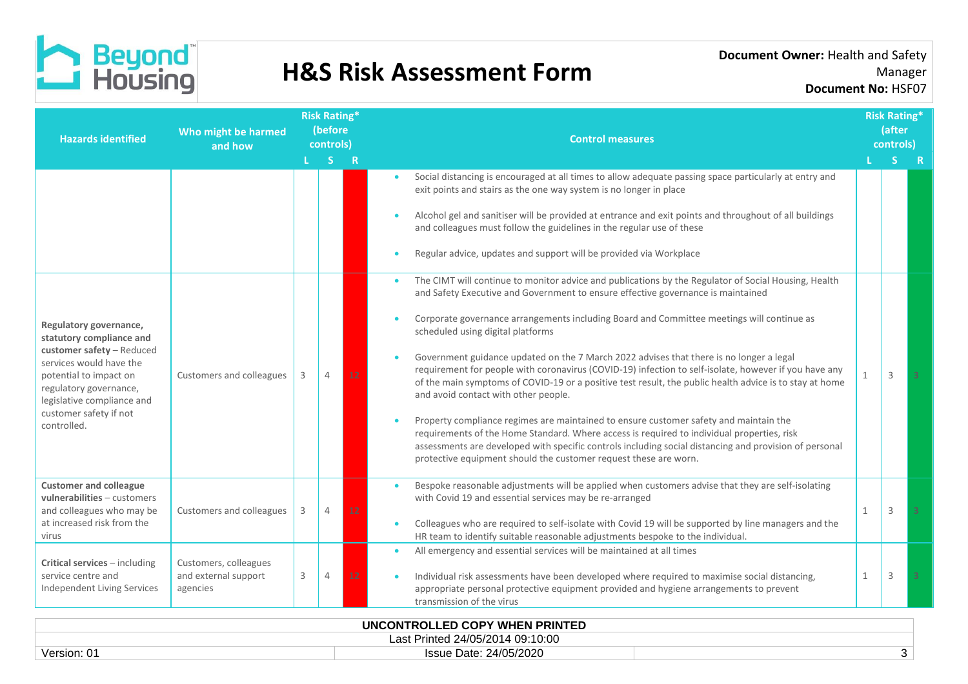

| <b>Hazards identified</b>                                                                                                                                                                    | Who might be harmed<br>and how                            |   |    | <b>Risk Rating*</b><br>(before<br>controls) |           | <b>Control measures</b>                                                                                                                                                                                                                                                                                                                                           |              |   | <b>Risk Rating*</b><br>(after<br>controls) |
|----------------------------------------------------------------------------------------------------------------------------------------------------------------------------------------------|-----------------------------------------------------------|---|----|---------------------------------------------|-----------|-------------------------------------------------------------------------------------------------------------------------------------------------------------------------------------------------------------------------------------------------------------------------------------------------------------------------------------------------------------------|--------------|---|--------------------------------------------|
|                                                                                                                                                                                              |                                                           |   | S. | R                                           |           |                                                                                                                                                                                                                                                                                                                                                                   |              |   |                                            |
|                                                                                                                                                                                              |                                                           |   |    |                                             | $\bullet$ | Social distancing is encouraged at all times to allow adequate passing space particularly at entry and<br>exit points and stairs as the one way system is no longer in place<br>Alcohol gel and sanitiser will be provided at entrance and exit points and throughout of all buildings                                                                            |              |   |                                            |
|                                                                                                                                                                                              |                                                           |   |    |                                             |           | and colleagues must follow the guidelines in the regular use of these<br>Regular advice, updates and support will be provided via Workplace                                                                                                                                                                                                                       |              |   |                                            |
|                                                                                                                                                                                              |                                                           |   |    |                                             |           | The CIMT will continue to monitor advice and publications by the Regulator of Social Housing, Health<br>and Safety Executive and Government to ensure effective governance is maintained                                                                                                                                                                          |              |   |                                            |
| Regulatory governance,<br>statutory compliance and<br>customer safety - Reduced<br>services would have the<br>potential to impact on<br>regulatory governance,<br>legislative compliance and | Customers and colleagues                                  | 3 |    |                                             |           | Corporate governance arrangements including Board and Committee meetings will continue as<br>scheduled using digital platforms                                                                                                                                                                                                                                    |              |   |                                            |
|                                                                                                                                                                                              |                                                           |   | 4  | 12                                          |           | Government guidance updated on the 7 March 2022 advises that there is no longer a legal<br>requirement for people with coronavirus (COVID-19) infection to self-isolate, however if you have any<br>of the main symptoms of COVID-19 or a positive test result, the public health advice is to stay at home<br>and avoid contact with other people.               | 1            | ς |                                            |
| customer safety if not<br>controlled.                                                                                                                                                        |                                                           |   |    |                                             |           | Property compliance regimes are maintained to ensure customer safety and maintain the<br>requirements of the Home Standard. Where access is required to individual properties, risk<br>assessments are developed with specific controls including social distancing and provision of personal<br>protective equipment should the customer request these are worn. |              |   |                                            |
| <b>Customer and colleague</b><br>vulnerabilities - customers<br>and colleagues who may be                                                                                                    | Customers and colleagues                                  | 3 | 4  | 12                                          |           | Bespoke reasonable adjustments will be applied when customers advise that they are self-isolating<br>with Covid 19 and essential services may be re-arranged                                                                                                                                                                                                      | $\mathbf{1}$ | 3 |                                            |
| at increased risk from the<br>virus                                                                                                                                                          |                                                           |   |    |                                             |           | Colleagues who are required to self-isolate with Covid 19 will be supported by line managers and the<br>HR team to identify suitable reasonable adjustments bespoke to the individual.                                                                                                                                                                            |              |   |                                            |
| Critical services - including<br>service centre and<br>Independent Living Services                                                                                                           | Customers, colleagues<br>and external support<br>agencies | 3 | 4  | 12                                          |           | All emergency and essential services will be maintained at all times<br>Individual risk assessments have been developed where required to maximise social distancing,<br>appropriate personal protective equipment provided and hygiene arrangements to prevent<br>transmission of the virus                                                                      | 1            | 3 |                                            |
| <b>IINCONTROLLED CORY WHEN BRINTED</b>                                                                                                                                                       |                                                           |   |    |                                             |           |                                                                                                                                                                                                                                                                                                                                                                   |              |   |                                            |

| UNCONTROLLED COPY WHEN PRINTED   |                        |  |  |  |  |  |
|----------------------------------|------------------------|--|--|--|--|--|
| Last Printed 24/05/2014 09:10:00 |                        |  |  |  |  |  |
| Version: 01                      | Issue Date: 24/05/2020 |  |  |  |  |  |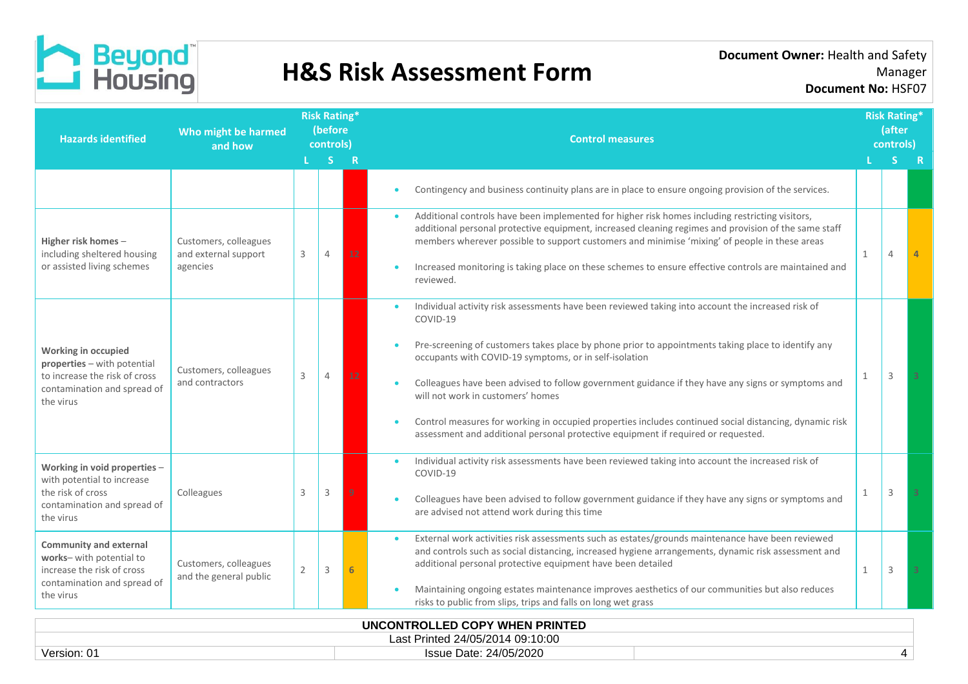

| <b>Hazards identified</b>                                                                                                           | Who might be harmed<br>and how                            | <b>Risk Rating*</b><br>(before<br>controls) |                |    | <b>Control measures</b>                                                                                                                                                                                                                                                                                                                                                                                                                                                                                                                                                                                                | <b>Risk Rating*</b><br>(after<br>controls) |                |  |  |
|-------------------------------------------------------------------------------------------------------------------------------------|-----------------------------------------------------------|---------------------------------------------|----------------|----|------------------------------------------------------------------------------------------------------------------------------------------------------------------------------------------------------------------------------------------------------------------------------------------------------------------------------------------------------------------------------------------------------------------------------------------------------------------------------------------------------------------------------------------------------------------------------------------------------------------------|--------------------------------------------|----------------|--|--|
|                                                                                                                                     |                                                           |                                             | S.             | -R |                                                                                                                                                                                                                                                                                                                                                                                                                                                                                                                                                                                                                        |                                            |                |  |  |
|                                                                                                                                     |                                                           |                                             |                |    | Contingency and business continuity plans are in place to ensure ongoing provision of the services.                                                                                                                                                                                                                                                                                                                                                                                                                                                                                                                    |                                            |                |  |  |
| Higher risk homes -<br>including sheltered housing<br>or assisted living schemes                                                    | Customers, colleagues<br>and external support<br>agencies | 3                                           | $\overline{4}$ | 12 | Additional controls have been implemented for higher risk homes including restricting visitors,<br>additional personal protective equipment, increased cleaning regimes and provision of the same staff<br>members wherever possible to support customers and minimise 'mixing' of people in these areas<br>Increased monitoring is taking place on these schemes to ensure effective controls are maintained and<br>reviewed.                                                                                                                                                                                         | 1                                          | $\overline{4}$ |  |  |
| Working in occupied<br>properties - with potential<br>to increase the risk of cross<br>contamination and spread of<br>the virus     | Customers, colleagues<br>and contractors                  | 3                                           | $\overline{4}$ |    | Individual activity risk assessments have been reviewed taking into account the increased risk of<br>COVID-19<br>Pre-screening of customers takes place by phone prior to appointments taking place to identify any<br>occupants with COVID-19 symptoms, or in self-isolation<br>Colleagues have been advised to follow government guidance if they have any signs or symptoms and<br>will not work in customers' homes<br>Control measures for working in occupied properties includes continued social distancing, dynamic risk<br>assessment and additional personal protective equipment if required or requested. | $\mathbf{1}$                               | 3              |  |  |
| Working in void properties -<br>with potential to increase<br>the risk of cross<br>contamination and spread of<br>the virus         | Colleagues                                                | 3                                           | 3              |    | Individual activity risk assessments have been reviewed taking into account the increased risk of<br>COVID-19<br>Colleagues have been advised to follow government guidance if they have any signs or symptoms and<br>are advised not attend work during this time                                                                                                                                                                                                                                                                                                                                                     | 1                                          | 3              |  |  |
| <b>Community and external</b><br>works- with potential to<br>increase the risk of cross<br>contamination and spread of<br>the virus | Customers, colleagues<br>and the general public           | 2                                           | 3              |    | External work activities risk assessments such as estates/grounds maintenance have been reviewed<br>$\bullet$<br>and controls such as social distancing, increased hygiene arrangements, dynamic risk assessment and<br>additional personal protective equipment have been detailed<br>Maintaining ongoing estates maintenance improves aesthetics of our communities but also reduces<br>risks to public from slips, trips and falls on long wet grass                                                                                                                                                                | 1                                          | 3              |  |  |
| <b>INCONTROLLER CORVINIEN ROINTER</b>                                                                                               |                                                           |                                             |                |    |                                                                                                                                                                                                                                                                                                                                                                                                                                                                                                                                                                                                                        |                                            |                |  |  |

| UNCONTROLLED COPY WHEN PRINTED   |                        |  |  |  |  |  |
|----------------------------------|------------------------|--|--|--|--|--|
| Last Printed 24/05/2014 09:10:00 |                        |  |  |  |  |  |
| Version: 01                      | Issue Date: 24/05/2020 |  |  |  |  |  |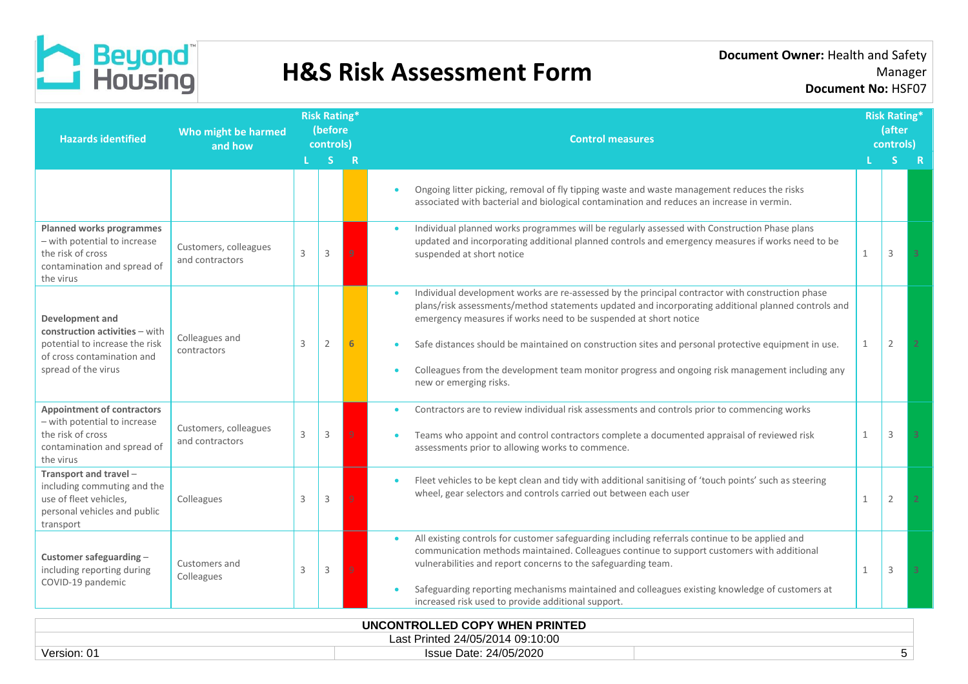

| <b>Hazards identified</b>                                                                                                                | Who might be harmed<br>and how           | <b>Risk Rating*</b><br>(before<br>controls)<br><sub>S</sub><br>$\overline{\mathbf{R}}$ |                |  | <b>Control measures</b>                                                                                                                                                                                                                                                                                                                                                                                                                                                                                        |              |                | <b>Risk Rating*</b><br>(after<br>controls) |  |
|------------------------------------------------------------------------------------------------------------------------------------------|------------------------------------------|----------------------------------------------------------------------------------------|----------------|--|----------------------------------------------------------------------------------------------------------------------------------------------------------------------------------------------------------------------------------------------------------------------------------------------------------------------------------------------------------------------------------------------------------------------------------------------------------------------------------------------------------------|--------------|----------------|--------------------------------------------|--|
|                                                                                                                                          |                                          |                                                                                        |                |  | Ongoing litter picking, removal of fly tipping waste and waste management reduces the risks<br>associated with bacterial and biological contamination and reduces an increase in vermin.                                                                                                                                                                                                                                                                                                                       |              |                |                                            |  |
| Planned works programmes<br>- with potential to increase<br>the risk of cross<br>contamination and spread of<br>the virus                | Customers, colleagues<br>and contractors | 3                                                                                      | 3              |  | Individual planned works programmes will be regularly assessed with Construction Phase plans<br>updated and incorporating additional planned controls and emergency measures if works need to be<br>suspended at short notice                                                                                                                                                                                                                                                                                  | $\mathbf{1}$ | 3              |                                            |  |
| Development and<br>construction activities - with<br>potential to increase the risk<br>of cross contamination and<br>spread of the virus | Colleagues and<br>contractors            | 3                                                                                      | 2              |  | Individual development works are re-assessed by the principal contractor with construction phase<br>plans/risk assessments/method statements updated and incorporating additional planned controls and<br>emergency measures if works need to be suspended at short notice<br>Safe distances should be maintained on construction sites and personal protective equipment in use.<br>Colleagues from the development team monitor progress and ongoing risk management including any<br>new or emerging risks. | 1            | $\overline{2}$ |                                            |  |
| <b>Appointment of contractors</b><br>- with potential to increase<br>the risk of cross<br>contamination and spread of<br>the virus       | Customers, colleagues<br>and contractors | 3                                                                                      | 3              |  | Contractors are to review individual risk assessments and controls prior to commencing works<br>Teams who appoint and control contractors complete a documented appraisal of reviewed risk<br>assessments prior to allowing works to commence.                                                                                                                                                                                                                                                                 | 1            | $\overline{3}$ |                                            |  |
| Transport and travel -<br>including commuting and the<br>use of fleet vehicles,<br>personal vehicles and public<br>transport             | Colleagues                               | 3                                                                                      | 3              |  | Fleet vehicles to be kept clean and tidy with additional sanitising of 'touch points' such as steering<br>wheel, gear selectors and controls carried out between each user                                                                                                                                                                                                                                                                                                                                     | $\mathbf{1}$ | $\overline{2}$ |                                            |  |
| Customer safeguarding-<br>including reporting during<br>COVID-19 pandemic                                                                | Customers and<br>Colleagues              | 3                                                                                      | $\overline{3}$ |  | All existing controls for customer safeguarding including referrals continue to be applied and<br>$\bullet$<br>communication methods maintained. Colleagues continue to support customers with additional<br>vulnerabilities and report concerns to the safeguarding team.<br>Safeguarding reporting mechanisms maintained and colleagues existing knowledge of customers at<br>increased risk used to provide additional support.                                                                             | $\mathbf{1}$ | $\mathbf{3}$   |                                            |  |
| <b>UNCONTROLLED COPY WHEN PRINTED</b>                                                                                                    |                                          |                                                                                        |                |  |                                                                                                                                                                                                                                                                                                                                                                                                                                                                                                                |              |                |                                            |  |

| <b>UNCONTROLLED COFT WHEN FRINTED</b> |                        |  |  |  |  |  |
|---------------------------------------|------------------------|--|--|--|--|--|
| Last Printed 24/05/2014 09:10:00      |                        |  |  |  |  |  |
| Version: 0.                           | Issue Date: 24/05/2020 |  |  |  |  |  |
|                                       |                        |  |  |  |  |  |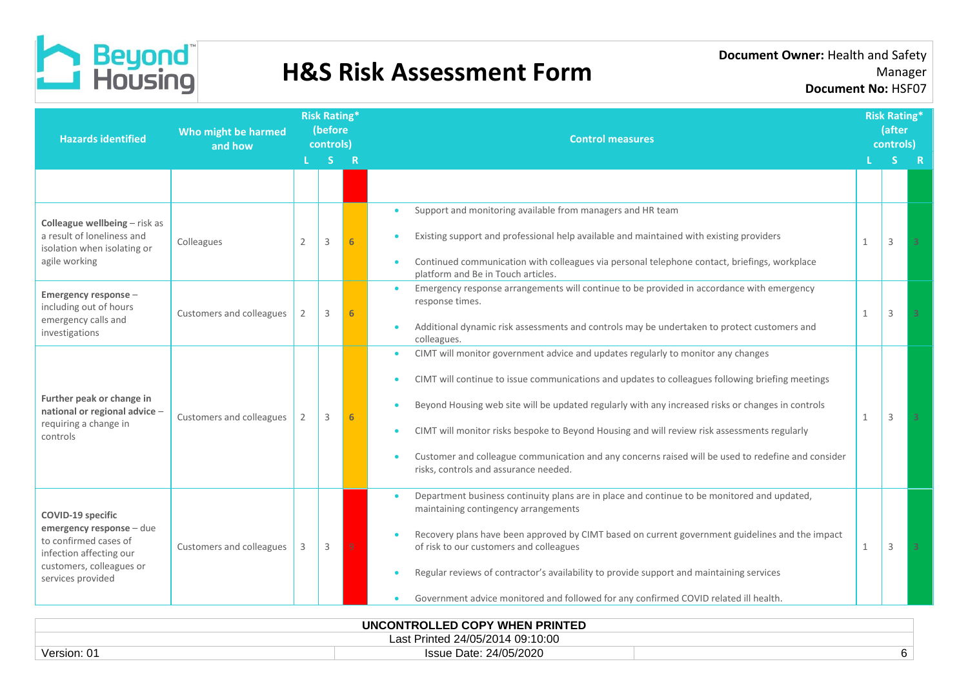

|                          |                | S |    | <b>Control measures</b>                                                                                                                                                                                                                                                                                                                                                                                                                                                                                                                               |                                                   |   | <b>Risk Rating*</b><br>(after<br>controls) |  |
|--------------------------|----------------|---|----|-------------------------------------------------------------------------------------------------------------------------------------------------------------------------------------------------------------------------------------------------------------------------------------------------------------------------------------------------------------------------------------------------------------------------------------------------------------------------------------------------------------------------------------------------------|---------------------------------------------------|---|--------------------------------------------|--|
|                          |                |   | R  |                                                                                                                                                                                                                                                                                                                                                                                                                                                                                                                                                       |                                                   |   | -R                                         |  |
|                          |                |   |    |                                                                                                                                                                                                                                                                                                                                                                                                                                                                                                                                                       |                                                   |   |                                            |  |
| Colleagues               | $\overline{2}$ | 3 |    | Support and monitoring available from managers and HR team<br>$\bullet$<br>Existing support and professional help available and maintained with existing providers<br>Continued communication with colleagues via personal telephone contact, briefings, workplace                                                                                                                                                                                                                                                                                    | $\mathbf{1}$                                      | 3 | 3                                          |  |
| Customers and colleagues |                | 3 | 6. | Emergency response arrangements will continue to be provided in accordance with emergency<br>$\bullet$<br>response times.<br>Additional dynamic risk assessments and controls may be undertaken to protect customers and                                                                                                                                                                                                                                                                                                                              | $\mathbf{1}$                                      | 3 |                                            |  |
| Customers and colleagues |                | 3 | 6. | CIMT will monitor government advice and updates regularly to monitor any changes<br>$\bullet$<br>CIMT will continue to issue communications and updates to colleagues following briefing meetings<br>Beyond Housing web site will be updated regularly with any increased risks or changes in controls<br>CIMT will monitor risks bespoke to Beyond Housing and will review risk assessments regularly<br>Customer and colleague communication and any concerns raised will be used to redefine and consider<br>risks, controls and assurance needed. | 1                                                 | 3 | $\overline{3}$                             |  |
| Customers and colleagues |                | 3 | q  | Department business continuity plans are in place and continue to be monitored and updated,<br>maintaining contingency arrangements<br>Recovery plans have been approved by CIMT based on current government guidelines and the impact<br>of risk to our customers and colleagues<br>Regular reviews of contractor's availability to provide support and maintaining services<br>Government advice monitored and followed for any confirmed COVID related ill health.<br>$\bullet$                                                                    | $\mathbf{1}$                                      | 3 |                                            |  |
|                          |                |   |    |                                                                                                                                                                                                                                                                                                                                                                                                                                                                                                                                                       | platform and Be in Touch articles.<br>colleagues. |   | <b>IINCONTROLLED COPY WHEN PRINTED</b>     |  |

|                                     | UNCONTROLLED COPY WHEN PRINTED |  |  |  |  |  |
|-------------------------------------|--------------------------------|--|--|--|--|--|
| Printed 24/05/2014 09:10:00<br>-as: |                                |  |  |  |  |  |
| Version: 01                         | Issue Date: 24/05/2020         |  |  |  |  |  |